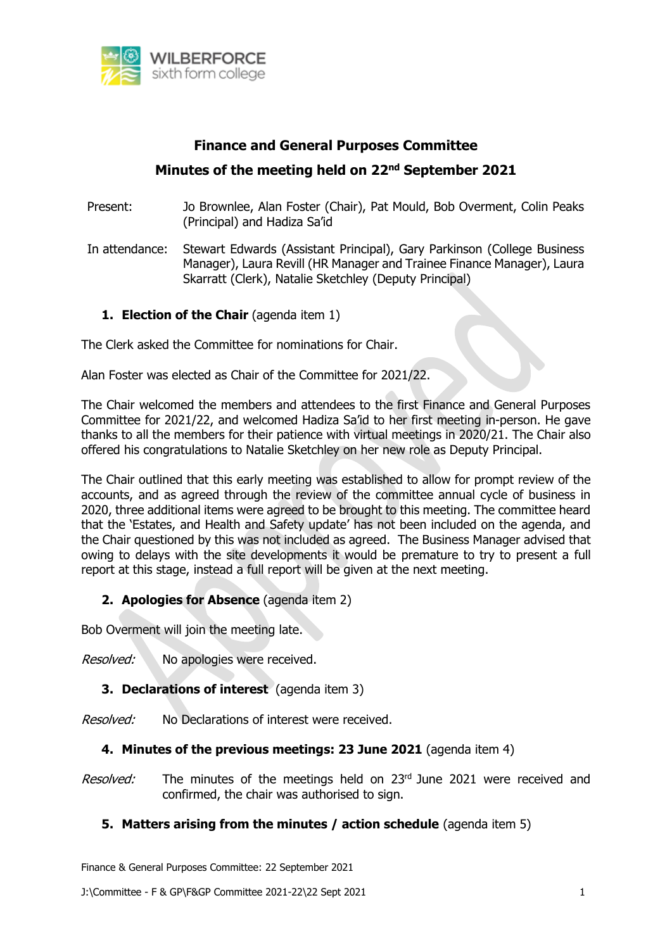

# **Finance and General Purposes Committee Minutes of the meeting held on 22nd September 2021**

Present: Jo Brownlee, Alan Foster (Chair), Pat Mould, Bob Overment, Colin Peaks (Principal) and Hadiza Sa'id

In attendance: Stewart Edwards (Assistant Principal), Gary Parkinson (College Business Manager), Laura Revill (HR Manager and Trainee Finance Manager), Laura Skarratt (Clerk), Natalie Sketchley (Deputy Principal)

**1. Election of the Chair** (agenda item 1)

The Clerk asked the Committee for nominations for Chair.

Alan Foster was elected as Chair of the Committee for 2021/22.

The Chair welcomed the members and attendees to the first Finance and General Purposes Committee for 2021/22, and welcomed Hadiza Sa'id to her first meeting in-person. He gave thanks to all the members for their patience with virtual meetings in 2020/21. The Chair also offered his congratulations to Natalie Sketchley on her new role as Deputy Principal.

The Chair outlined that this early meeting was established to allow for prompt review of the accounts, and as agreed through the review of the committee annual cycle of business in 2020, three additional items were agreed to be brought to this meeting. The committee heard that the 'Estates, and Health and Safety update' has not been included on the agenda, and the Chair questioned by this was not included as agreed. The Business Manager advised that owing to delays with the site developments it would be premature to try to present a full report at this stage, instead a full report will be given at the next meeting.

## **2. Apologies for Absence** (agenda item 2)

Bob Overment will join the meeting late.

Resolved: No apologies were received.

## **3. Declarations of interest** (agenda item 3)

Resolved: No Declarations of interest were received.

#### **4. Minutes of the previous meetings: 23 June 2021** (agenda item 4)

Resolved: The minutes of the meetings held on 23rd June 2021 were received and confirmed, the chair was authorised to sign.

## **5. Matters arising from the minutes / action schedule** (agenda item 5)

Finance & General Purposes Committee: 22 September 2021

J:\Committee - F & GP\F&GP Committee 2021-22\22 Sept 2021 1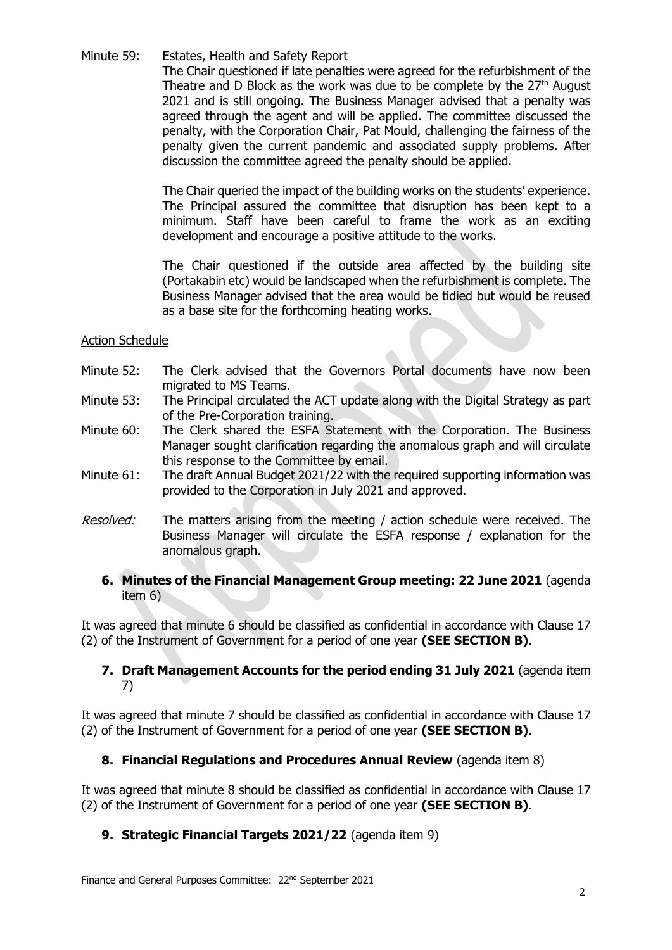#### Minute 59: Estates, Health and Safety Report

The Chair questioned if late penalties were agreed for the refurbishment of the Theatre and D Block as the work was due to be complete by the  $27<sup>th</sup>$  August 2021 and is still ongoing. The Business Manager advised that a penalty was agreed through the agent and will be applied. The committee discussed the penalty, with the Corporation Chair, Pat Mould, challenging the fairness of the penalty given the current pandemic and associated supply problems. After discussion the committee agreed the penalty should be applied.

The Chair queried the impact of the building works on the students' experience. The Principal assured the committee that disruption has been kept to a minimum. Staff have been careful to frame the work as an exciting development and encourage a positive attitude to the works.

The Chair questioned if the outside area affected by the building site (Portakabin etc) would be landscaped when the refurbishment is complete. The Business Manager advised that the area would be tidied but would be reused as a base site for the forthcoming heating works.

#### Action Schedule

- Minute 52: The Clerk advised that the Governors Portal documents have now been migrated to MS Teams.
- Minute 53: The Principal circulated the ACT update along with the Digital Strategy as part of the Pre-Corporation training.
- Minute 60: The Clerk shared the ESFA Statement with the Corporation. The Business Manager sought clarification regarding the anomalous graph and will circulate this response to the Committee by email.
- Minute 61: The draft Annual Budget 2021/22 with the required supporting information was provided to the Corporation in July 2021 and approved.
- Resolved: The matters arising from the meeting / action schedule were received. The Business Manager will circulate the ESFA response / explanation for the anomalous graph.

#### **6. Minutes of the Financial Management Group meeting: 22 June 2021** (agenda item 6)

It was agreed that minute 6 should be classified as confidential in accordance with Clause 17 (2) of the Instrument of Government for a period of one year **(SEE SECTION B)**.

#### **7. Draft Management Accounts for the period ending 31 July 2021** (agenda item 7)

It was agreed that minute 7 should be classified as confidential in accordance with Clause 17 (2) of the Instrument of Government for a period of one year **(SEE SECTION B)**.

## **8. Financial Regulations and Procedures Annual Review** (agenda item 8)

It was agreed that minute 8 should be classified as confidential in accordance with Clause 17 (2) of the Instrument of Government for a period of one year **(SEE SECTION B)**.

## **9. Strategic Financial Targets 2021/22** (agenda item 9)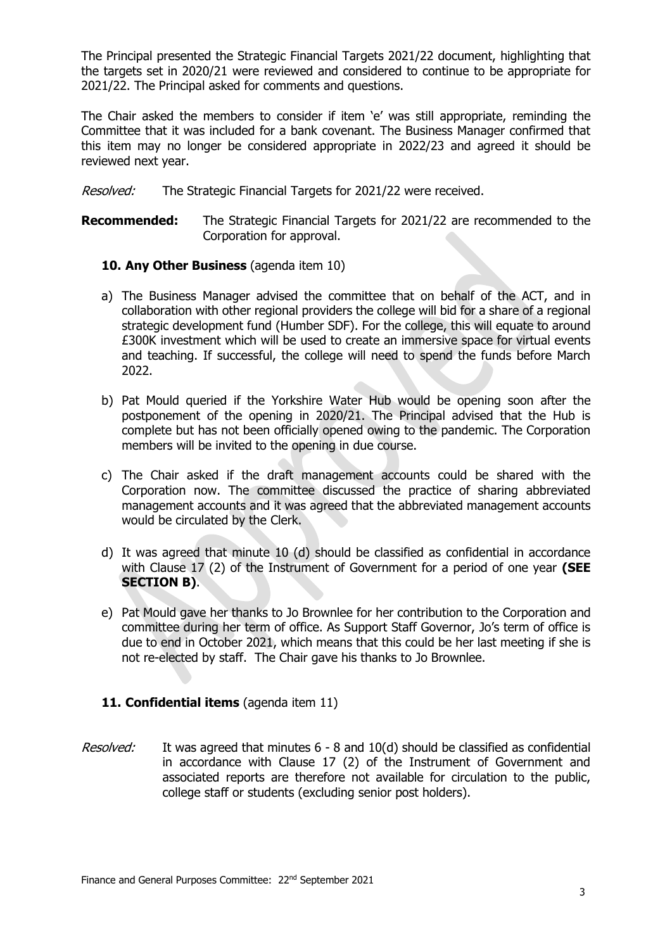The Principal presented the Strategic Financial Targets 2021/22 document, highlighting that the targets set in 2020/21 were reviewed and considered to continue to be appropriate for 2021/22. The Principal asked for comments and questions.

The Chair asked the members to consider if item 'e' was still appropriate, reminding the Committee that it was included for a bank covenant. The Business Manager confirmed that this item may no longer be considered appropriate in 2022/23 and agreed it should be reviewed next year.

Resolved: The Strategic Financial Targets for 2021/22 were received.

**Recommended:** The Strategic Financial Targets for 2021/22 are recommended to the Corporation for approval.

#### **10. Any Other Business** (agenda item 10)

- a) The Business Manager advised the committee that on behalf of the ACT, and in collaboration with other regional providers the college will bid for a share of a regional strategic development fund (Humber SDF). For the college, this will equate to around £300K investment which will be used to create an immersive space for virtual events and teaching. If successful, the college will need to spend the funds before March 2022.
- b) Pat Mould queried if the Yorkshire Water Hub would be opening soon after the postponement of the opening in 2020/21. The Principal advised that the Hub is complete but has not been officially opened owing to the pandemic. The Corporation members will be invited to the opening in due course.
- c) The Chair asked if the draft management accounts could be shared with the Corporation now. The committee discussed the practice of sharing abbreviated management accounts and it was agreed that the abbreviated management accounts would be circulated by the Clerk.
- d) It was agreed that minute 10 (d) should be classified as confidential in accordance with Clause 17 (2) of the Instrument of Government for a period of one year **(SEE SECTION B)**.
- e) Pat Mould gave her thanks to Jo Brownlee for her contribution to the Corporation and committee during her term of office. As Support Staff Governor, Jo's term of office is due to end in October 2021, which means that this could be her last meeting if she is not re-elected by staff. The Chair gave his thanks to Jo Brownlee.

## **11. Confidential items** (agenda item 11)

Resolved: It was agreed that minutes 6 - 8 and 10(d) should be classified as confidential in accordance with Clause 17 (2) of the Instrument of Government and associated reports are therefore not available for circulation to the public, college staff or students (excluding senior post holders).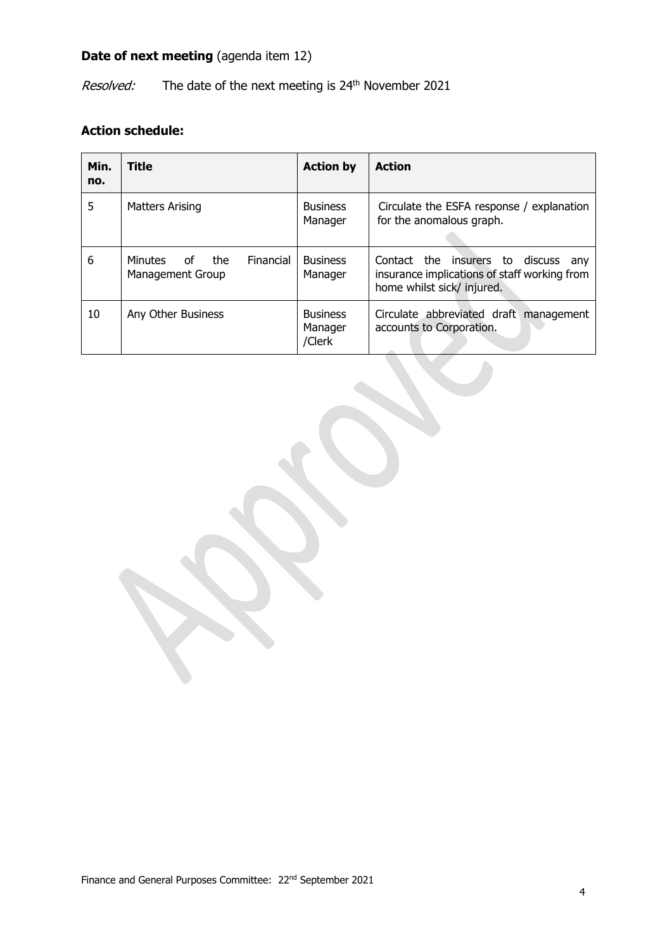# **Date of next meeting** (agenda item 12)

Resolved: The date of the next meeting is 24<sup>th</sup> November 2021

# **Action schedule:**

| Min.<br>no. | Title                                                        | <b>Action by</b>                     | <b>Action</b>                                                                                                           |
|-------------|--------------------------------------------------------------|--------------------------------------|-------------------------------------------------------------------------------------------------------------------------|
| 5           | Matters Arising                                              | <b>Business</b><br>Manager           | Circulate the ESFA response / explanation<br>for the anomalous graph.                                                   |
| 6           | Financial<br><b>Minutes</b><br>of<br>the<br>Management Group | <b>Business</b><br>Manager           | Contact the insurers to<br>discuss<br>anv<br>insurance implications of staff working from<br>home whilst sick/ injured. |
| 10          | Any Other Business                                           | <b>Business</b><br>Manager<br>/Clerk | Circulate abbreviated draft<br>management<br>accounts to Corporation.                                                   |